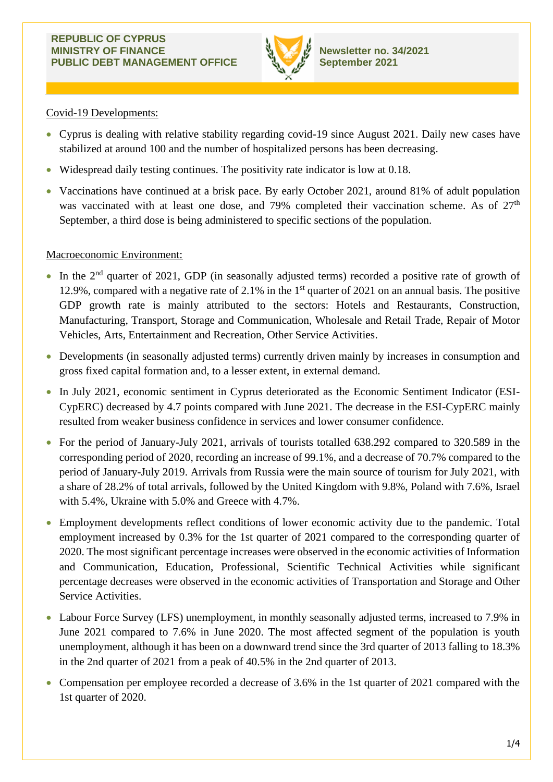

# Covid-19 Developments:

- Cyprus is dealing with relative stability regarding covid-19 since August 2021. Daily new cases have stabilized at around 100 and the number of hospitalized persons has been decreasing.
- Widespread daily testing continues. The positivity rate indicator is low at 0.18.
- Vaccinations have continued at a brisk pace. By early October 2021, around 81% of adult population was vaccinated with at least one dose, and 79% completed their vaccination scheme. As of 27<sup>th</sup> September, a third dose is being administered to specific sections of the population.

# Macroeconomic Environment:

- $\bullet$  In the 2<sup>nd</sup> quarter of 2021, GDP (in seasonally adjusted terms) recorded a positive rate of growth of 12.9%, compared with a negative rate of 2.1% in the  $1<sup>st</sup>$  quarter of 2021 on an annual basis. The positive GDP growth rate is mainly attributed to the sectors: Hotels and Restaurants, Construction, Manufacturing, Transport, Storage and Communication, Wholesale and Retail Trade, Repair of Motor Vehicles, Arts, Entertainment and Recreation, Other Service Activities.
- Developments (in seasonally adjusted terms) currently driven mainly by increases in consumption and gross fixed capital formation and, to a lesser extent, in external demand.
- In July 2021, economic sentiment in Cyprus deteriorated as the Economic Sentiment Indicator (ESI-CypERC) decreased by 4.7 points compared with June 2021. The decrease in the ESI-CypERC mainly resulted from weaker business confidence in services and lower consumer confidence.
- For the period of January-July 2021, arrivals of tourists totalled 638.292 compared to 320.589 in the corresponding period of 2020, recording an increase of 99.1%, and a decrease of 70.7% compared to the period of January-July 2019. Arrivals from Russia were the main source of tourism for July 2021, with a share of 28.2% of total arrivals, followed by the United Kingdom with 9.8%, Poland with 7.6%, Israel with 5.4%, Ukraine with 5.0% and Greece with 4.7%.
- Employment developments reflect conditions of lower economic activity due to the pandemic. Total employment increased by 0.3% for the 1st quarter of 2021 compared to the corresponding quarter of 2020. The most significant percentage increases were observed in the economic activities of Information and Communication, Education, Professional, Scientific Technical Activities while significant percentage decreases were observed in the economic activities of Transportation and Storage and Other Service Activities.
- Labour Force Survey (LFS) unemployment, in monthly seasonally adjusted terms, increased to 7.9% in June 2021 compared to 7.6% in June 2020. The most affected segment of the population is youth unemployment, although it has been on a downward trend since the 3rd quarter of 2013 falling to 18.3% in the 2nd quarter of 2021 from a peak of 40.5% in the 2nd quarter of 2013.
- Compensation per employee recorded a decrease of 3.6% in the 1st quarter of 2021 compared with the 1st quarter of 2020.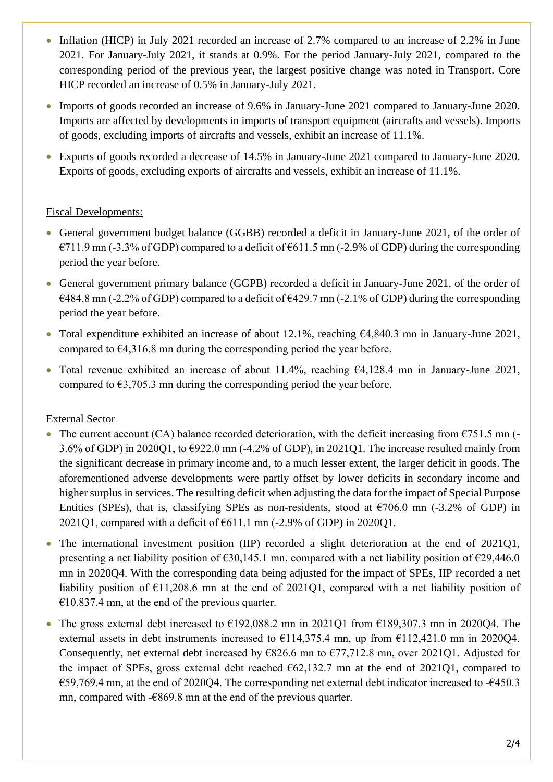- Inflation (HICP) in July 2021 recorded an increase of 2.7% compared to an increase of 2.2% in June 2021. For January-July 2021, it stands at 0.9%. For the period January-July 2021, compared to the corresponding period of the previous year, the largest positive change was noted in Transport. Core HICP recorded an increase of 0.5% in January-July 2021.
- Imports of goods recorded an increase of 9.6% in January-June 2021 compared to January-June 2020. Imports are affected by developments in imports of transport equipment (aircrafts and vessels). Imports of goods, excluding imports of aircrafts and vessels, exhibit an increase of 11.1%.
- Exports of goods recorded a decrease of 14.5% in January-June 2021 compared to January-June 2020. Exports of goods, excluding exports of aircrafts and vessels, exhibit an increase of 11.1%.

# Fiscal Developments:

- General government budget balance (GGBB) recorded a deficit in January-June 2021, of the order of  $E$ 711.9 mn (-3.3% of GDP) compared to a deficit of  $E$ 611.5 mn (-2.9% of GDP) during the corresponding period the year before.
- General government primary balance (GGPB) recorded a deficit in January-June 2021, of the order of  $€484.8$  mn (-2.2% of GDP) compared to a deficit of  $€429.7$  mn (-2.1% of GDP) during the corresponding period the year before.
- Total expenditure exhibited an increase of about 12.1%, reaching  $\epsilon$ 4,840.3 mn in January-June 2021, compared to  $64,316.8$  mn during the corresponding period the year before.
- Total revenue exhibited an increase of about 11.4%, reaching €4,128.4 mn in January-June 2021, compared to  $\epsilon$ 3,705.3 mn during the corresponding period the year before.

# External Sector

- The current account (CA) balance recorded deterioration, with the deficit increasing from  $\epsilon$ 751.5 mn (-3.6% of GDP) in 2020Q1, to €922.0 mn (-4.2% of GDP), in 2021Q1. The increase resulted mainly from the significant decrease in primary income and, to a much lesser extent, the larger deficit in goods. The aforementioned adverse developments were partly offset by lower deficits in secondary income and higher surplus in services. The resulting deficit when adjusting the data for the impact of Special Purpose Entities (SPEs), that is, classifying SPEs as non-residents, stood at  $\epsilon$ 706.0 mn (-3.2% of GDP) in 2021Q1, compared with a deficit of  $\epsilon$ 611.1 mn (-2.9% of GDP) in 2020Q1.
- The international investment position (IIP) recorded a slight deterioration at the end of 2021O1, presenting a net liability position of  $\epsilon$ 30,145.1 mn, compared with a net liability position of  $\epsilon$ 29,446.0 mn in 2020Q4. With the corresponding data being adjusted for the impact of SPEs, IIP recorded a net liability position of  $\epsilon$ 11,208.6 mn at the end of 2021Q1, compared with a net liability position of  $€10,837.4$  mn, at the end of the previous quarter.
- The gross external debt increased to  $\epsilon$ 192,088.2 mn in 2021Q1 from  $\epsilon$ 189,307.3 mn in 2020Q4. The external assets in debt instruments increased to  $\epsilon$ 114,375.4 mn, up from  $\epsilon$ 112,421.0 mn in 202004. Consequently, net external debt increased by  $\epsilon$ 826.6 mn to  $\epsilon$ 77,712.8 mn, over 2021Q1. Adjusted for the impact of SPEs, gross external debt reached  $62,132.7$  mn at the end of 2021Q1, compared to €59,769.4 mn, at the end of 2020Q4. The corresponding net external debt indicator increased to -€450.3 mn, compared with -€869.8 mn at the end of the previous quarter.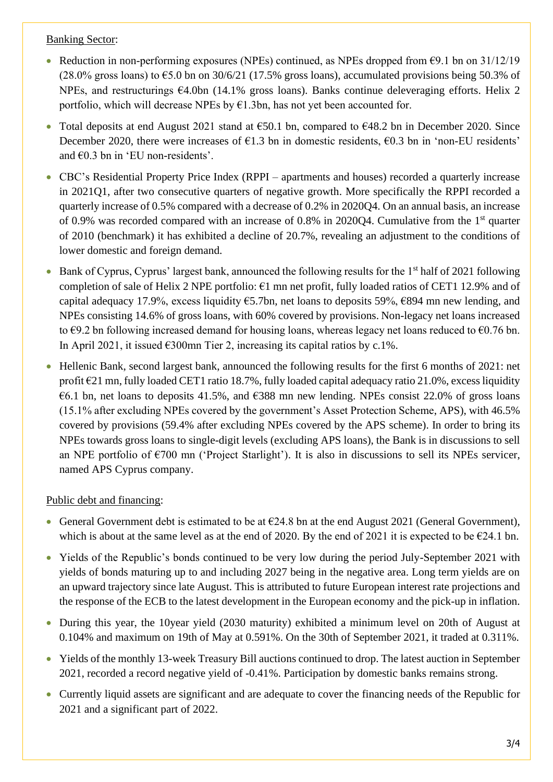## Banking Sector:

- Reduction in non-performing exposures (NPEs) continued, as NPEs dropped from  $\epsilon$ 9.1 bn on 31/12/19 (28.0% gross loans) to  $65.0$  bn on 30/6/21 (17.5% gross loans), accumulated provisions being 50.3% of NPEs, and restructurings  $64.0$ bn (14.1% gross loans). Banks continue deleveraging efforts. Helix 2 portfolio, which will decrease NPEs by  $E1.3$ bn, has not yet been accounted for.
- Total deposits at end August 2021 stand at  $\epsilon$ 50.1 bn, compared to  $\epsilon$ 48.2 bn in December 2020. Since December 2020, there were increases of  $\epsilon$ 1.3 bn in domestic residents,  $\epsilon$ 0.3 bn in 'non-EU residents' and €0.3 bn in 'EU non-residents'.
- CBC's Residential Property Price Index (RPPI apartments and houses) recorded a quarterly increase in 2021Q1, after two consecutive quarters of negative growth. More specifically the RPPI recorded a quarterly increase of 0.5% compared with a decrease of 0.2% in 2020Q4. On an annual basis, an increase of 0.9% was recorded compared with an increase of 0.8% in 2020Q4. Cumulative from the 1st quarter of 2010 (benchmark) it has exhibited a decline of 20.7%, revealing an adjustment to the conditions of lower domestic and foreign demand.
- Bank of Cyprus, Cyprus' largest bank, announced the following results for the  $1<sup>st</sup>$  half of 2021 following completion of sale of Helix 2 NPE portfolio:  $\epsilon$ 1 mn net profit, fully loaded ratios of CET1 12.9% and of capital adequacy 17.9%, excess liquidity  $\epsilon$ 5.7bn, net loans to deposits 59%,  $\epsilon$ 894 mn new lending, and NPEs consisting 14.6% of gross loans, with 60% covered by provisions. Non-legacy net loans increased to  $\epsilon$ 9.2 bn following increased demand for housing loans, whereas legacy net loans reduced to  $\epsilon$ 0.76 bn. In April 2021, it issued  $\epsilon$ 300mn Tier 2, increasing its capital ratios by c.1%.
- Hellenic Bank, second largest bank, announced the following results for the first 6 months of 2021: net profit €21 mn, fully loaded CET1 ratio 18.7%, fully loaded capital adequacy ratio 21.0%, excess liquidity  $\epsilon$ 6.1 bn, net loans to deposits 41.5%, and  $\epsilon$ 388 mn new lending. NPEs consist 22.0% of gross loans (15.1% after excluding NPEs covered by the government's Asset Protection Scheme, APS), with 46.5% covered by provisions (59.4% after excluding NPEs covered by the APS scheme). In order to bring its NPEs towards gross loans to single-digit levels (excluding APS loans), the Bank is in discussions to sell an NPE portfolio of  $\epsilon$ 700 mn ('Project Starlight'). It is also in discussions to sell its NPEs servicer, named APS Cyprus company.

# Public debt and financing:

- General Government debt is estimated to be at  $\epsilon$ 24.8 bn at the end August 2021 (General Government), which is about at the same level as at the end of 2020. By the end of 2021 it is expected to be  $\epsilon$ 24.1 bn.
- Yields of the Republic's bonds continued to be very low during the period July-September 2021 with yields of bonds maturing up to and including 2027 being in the negative area. Long term yields are on an upward trajectory since late August. This is attributed to future European interest rate projections and the response of the ECB to the latest development in the European economy and the pick-up in inflation.
- During this year, the 10year yield (2030 maturity) exhibited a minimum level on 20th of August at 0.104% and maximum on 19th of May at 0.591%. On the 30th of September 2021, it traded at 0.311%.
- Yields of the monthly 13-week Treasury Bill auctions continued to drop. The latest auction in September 2021, recorded a record negative yield of -0.41%. Participation by domestic banks remains strong.
- Currently liquid assets are significant and are adequate to cover the financing needs of the Republic for 2021 and a significant part of 2022.